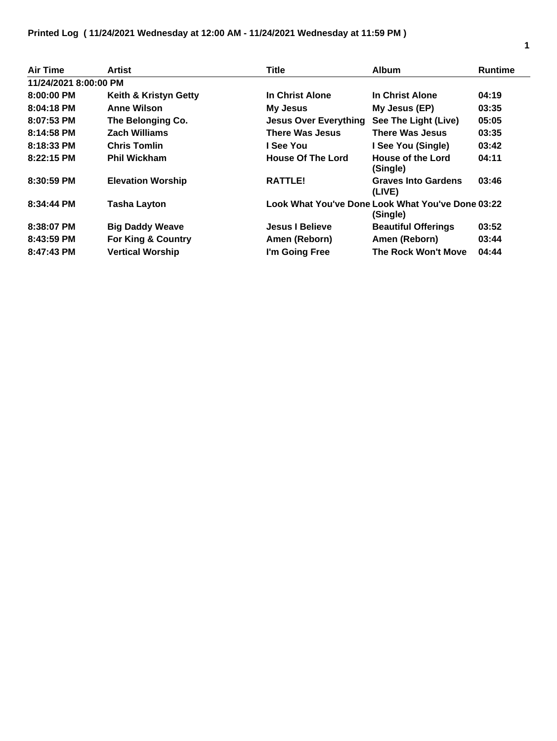| <b>Air Time</b>       | Artist                        | <b>Title</b>                                                  | <b>Album</b>                         | <b>Runtime</b> |
|-----------------------|-------------------------------|---------------------------------------------------------------|--------------------------------------|----------------|
| 11/24/2021 8:00:00 PM |                               |                                                               |                                      |                |
| 8:00:00 PM            | Keith & Kristyn Getty         | In Christ Alone                                               | In Christ Alone                      | 04:19          |
| $8:04:18$ PM          | <b>Anne Wilson</b>            | My Jesus                                                      | My Jesus (EP)                        | 03:35          |
| $8:07:53$ PM          | The Belonging Co.             | <b>Jesus Over Everything</b>                                  | See The Light (Live)                 | 05:05          |
| 8:14:58 PM            | Zach Williams                 | <b>There Was Jesus</b>                                        | <b>There Was Jesus</b>               | 03:35          |
| 8:18:33 PM            | <b>Chris Tomlin</b>           | l See You                                                     | I See You (Single)                   | 03:42          |
| $8:22:15$ PM          | <b>Phil Wickham</b>           | <b>House Of The Lord</b>                                      | <b>House of the Lord</b><br>(Single) | 04:11          |
| 8:30:59 PM            | <b>Elevation Worship</b>      | <b>RATTLE!</b>                                                | <b>Graves Into Gardens</b><br>(LIVE) | 03:46          |
| 8:34:44 PM            | <b>Tasha Layton</b>           | Look What You've Done Look What You've Done 03:22<br>(Single) |                                      |                |
| 8:38:07 PM            | <b>Big Daddy Weave</b>        | <b>Jesus I Believe</b>                                        | <b>Beautiful Offerings</b>           | 03:52          |
| 8:43:59 PM            | <b>For King &amp; Country</b> | Amen (Reborn)                                                 | Amen (Reborn)                        | 03:44          |
| $8:47:43$ PM          | <b>Vertical Worship</b>       | I'm Going Free                                                | <b>The Rock Won't Move</b>           | 04:44          |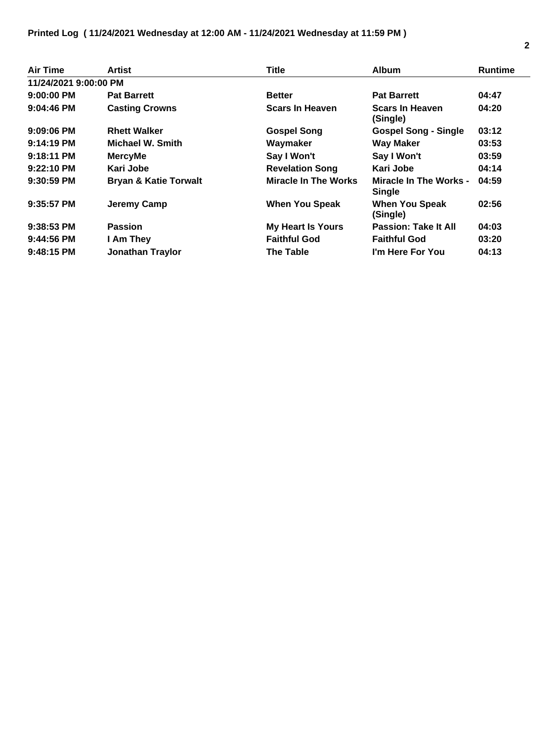| <b>Air Time</b>       | Artist                           | <b>Title</b>                | <b>Album</b>                            | <b>Runtime</b> |
|-----------------------|----------------------------------|-----------------------------|-----------------------------------------|----------------|
| 11/24/2021 9:00:00 PM |                                  |                             |                                         |                |
| 9:00:00 PM            | <b>Pat Barrett</b>               | <b>Better</b>               | <b>Pat Barrett</b>                      | 04:47          |
| $9:04:46$ PM          | <b>Casting Crowns</b>            | <b>Scars In Heaven</b>      | <b>Scars In Heaven</b><br>(Single)      | 04:20          |
| $9:09:06$ PM          | <b>Rhett Walker</b>              | <b>Gospel Song</b>          | <b>Gospel Song - Single</b>             | 03:12          |
| $9:14:19$ PM          | Michael W. Smith                 | Waymaker                    | <b>Way Maker</b>                        | 03:53          |
| $9:18:11$ PM          | <b>MercyMe</b>                   | Say I Won't                 | Say I Won't                             | 03:59          |
| $9:22:10$ PM          | Kari Jobe                        | <b>Revelation Song</b>      | Kari Jobe                               | 04:14          |
| $9:30:59$ PM          | <b>Bryan &amp; Katie Torwalt</b> | <b>Miracle In The Works</b> | Miracle In The Works -<br><b>Single</b> | 04:59          |
| $9:35:57$ PM          | Jeremy Camp                      | <b>When You Speak</b>       | <b>When You Speak</b><br>(Single)       | 02:56          |
| $9:38:53$ PM          | <b>Passion</b>                   | <b>My Heart Is Yours</b>    | <b>Passion: Take It All</b>             | 04:03          |
| $9:44:56$ PM          | I Am They                        | <b>Faithful God</b>         | <b>Faithful God</b>                     | 03:20          |
| $9:48:15$ PM          | <b>Jonathan Traylor</b>          | The Table                   | I'm Here For You                        | 04:13          |